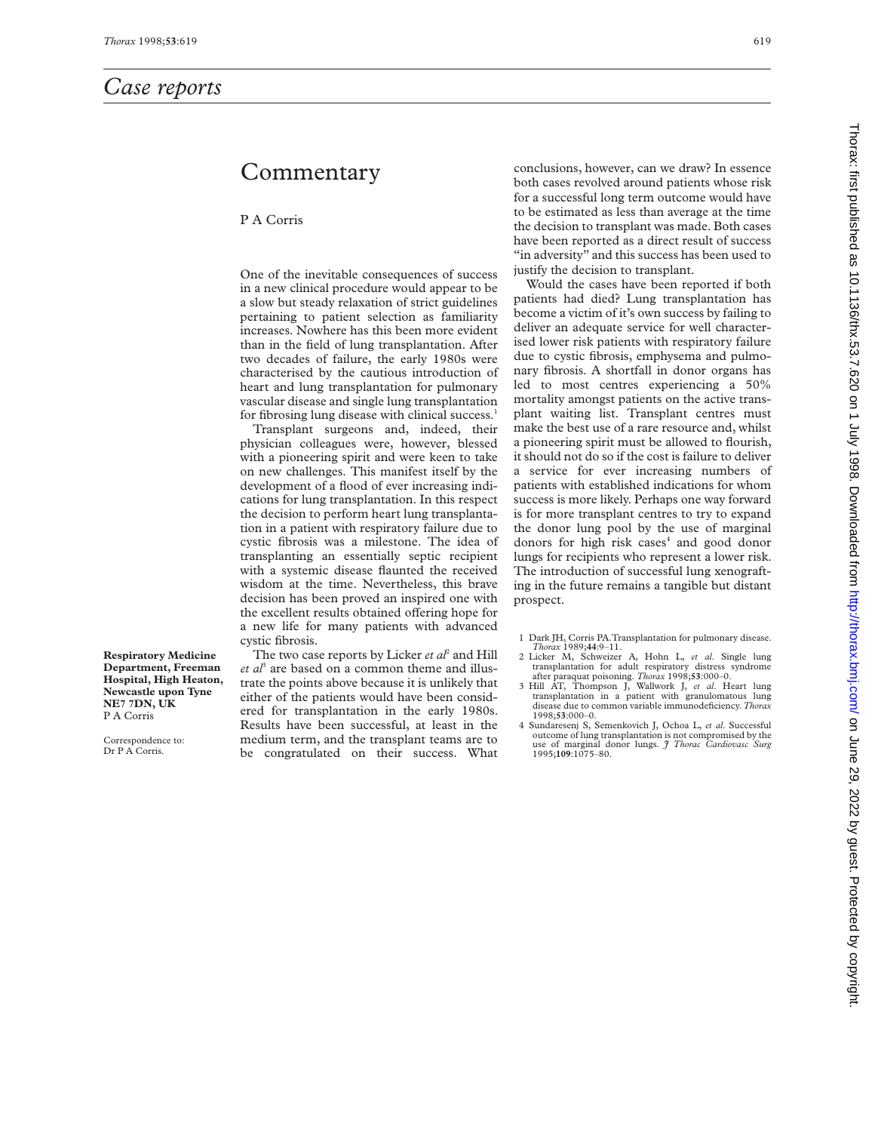### Commentary

P A Corris

One of the inevitable consequences of success in a new clinical procedure would appear to be a slow but steady relaxation of strict guidelines pertaining to patient selection as familiarity increases. Nowhere has this been more evident than in the field of lung transplantation. After two decades of failure, the early 1980s were characterised by the cautious introduction of heart and lung transplantation for pulmonary vascular disease and single lung transplantation for fibrosing lung disease with clinical success.<sup>1</sup>

Transplant surgeons and, indeed, their physician colleagues were, however, blessed with a pioneering spirit and were keen to take on new challenges. This manifest itself by the development of a flood of ever increasing indications for lung transplantation. In this respect the decision to perform heart lung transplantation in a patient with respiratory failure due to cystic fibrosis was a milestone. The idea of transplanting an essentially septic recipient with a systemic disease flaunted the received wisdom at the time. Nevertheless, this brave decision has been proved an inspired one with the excellent results obtained offering hope for a new life for many patients with advanced cystic fibrosis.

The two case reports by Licker *et al*<sup>2</sup> and Hill *et al*<sup>3</sup> are based on a common theme and illustrate the points above because it is unlikely that either of the patients would have been considered for transplantation in the early 1980s. Results have been successful, at least in the medium term, and the transplant teams are to be congratulated on their success. What

conclusions, however, can we draw? In essence both cases revolved around patients whose risk for a successful long term outcome would have to be estimated as less than average at the time the decision to transplant was made. Both cases have been reported as a direct result of success "in adversity" and this success has been used to justify the decision to transplant.

Would the cases have been reported if both patients had died? Lung transplantation has become a victim of it's own success by failing to deliver an adequate service for well characterised lower risk patients with respiratory failure due to cystic fibrosis, emphysema and pulmonary fibrosis. A shortfall in donor organs has led to most centres experiencing a 50% mortality amongst patients on the active transplant waiting list. Transplant centres must make the best use of a rare resource and, whilst a pioneering spirit must be allowed to flourish, it should not do so if the cost is failure to deliver a service for ever increasing numbers of patients with established indications for whom success is more likely. Perhaps one way forward is for more transplant centres to try to expand the donor lung pool by the use of marginal donors for high risk cases<sup>4</sup> and good donor lungs for recipients who represent a lower risk. The introduction of successful lung xenografting in the future remains a tangible but distant prospect.

- 1 Dark JH, Corris PA.Transplantation for pulmonary disease. *Thorax* 1989;**44**:9–11.
- 2 Licker M, Schweizer A, Hohn L, *et al*. Single lung transplantation for adult respiratory distress syndrome after paraquat poisoning. *Thorax* 1998;**53**:000–0. 3 Hill AT, Thompson J, Wallwork J, *et al*. Heart lung
- transplantation in a patient with granulomatous lung disease due to common variable immunodeficiency. *Thorax* 1998;**53**:000–0.
- 4 Sundaresenj S, Semenkovich J, Ochoa L, *et al*. Successful outcome of lung transplantation is not compromised by the use of marginal donor lungs. *J Thorac Cardiovasc Surg* 1995;**109**:1075–80.

**Respiratory Medicine Department, Freeman Hospital, High Heaton, Newcastle upon Tyne NE7 7DN, UK** P A Corris

Correspondence to: Dr P A Corris.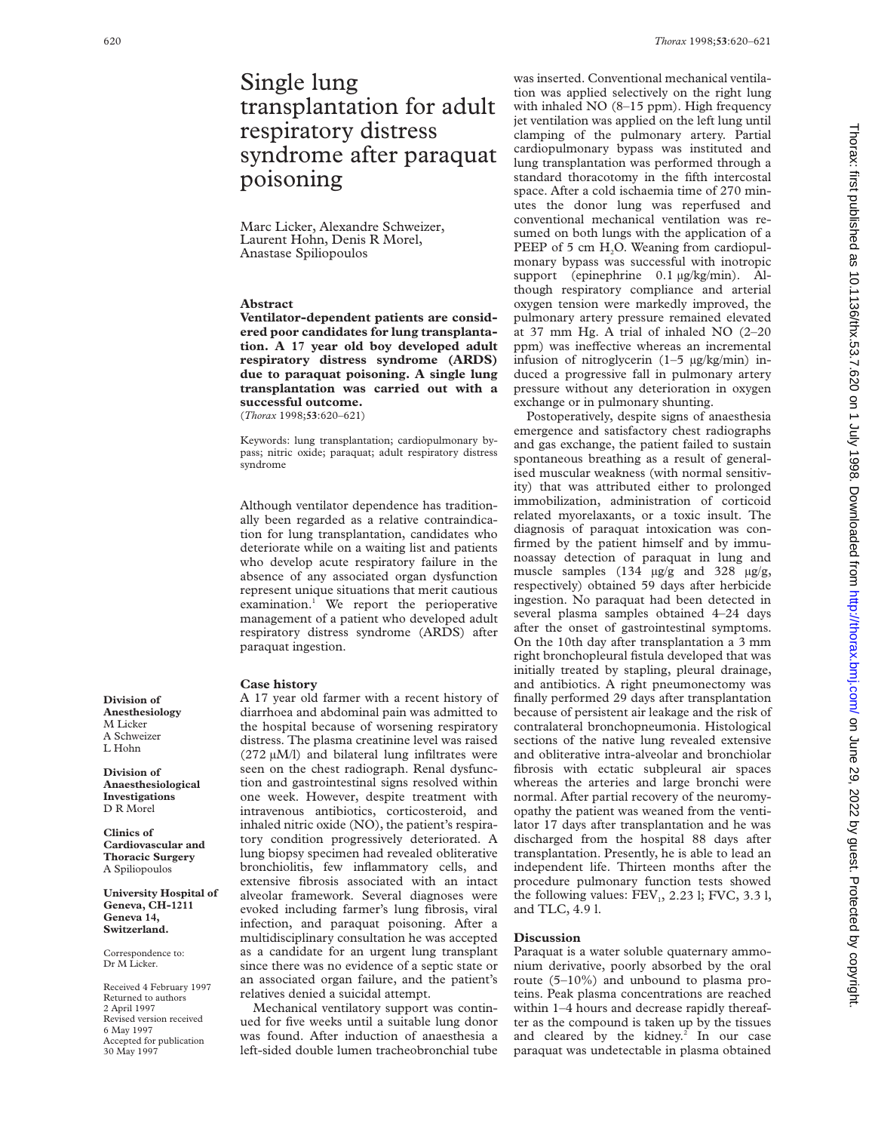## Single lung transplantation for adult respiratory distress syndrome after paraquat poisoning

Marc Licker, Alexandre Schweizer, Laurent Hohn, Denis R Morel, Anastase Spiliopoulos

#### **Abstract**

**Ventilator-dependent patients are considered poor candidates for lung transplantation. A 17 year old boy developed adult respiratory distress syndrome (ARDS) due to paraquat poisoning. A single lung transplantation was carried out with a successful outcome.** (*Thorax* 1998;**53**:620–621)

Keywords: lung transplantation; cardiopulmonary bypass; nitric oxide; paraquat; adult respiratory distress syndrome

Although ventilator dependence has traditionally been regarded as a relative contraindication for lung transplantation, candidates who deteriorate while on a waiting list and patients who develop acute respiratory failure in the absence of any associated organ dysfunction represent unique situations that merit cautious examination.<sup>1</sup> We report the perioperative management of a patient who developed adult respiratory distress syndrome (ARDS) after paraquat ingestion.

#### **Case history**

A 17 year old farmer with a recent history of diarrhoea and abdominal pain was admitted to the hospital because of worsening respiratory distress. The plasma creatinine level was raised  $(272 \mu M/l)$  and bilateral lung infiltrates were seen on the chest radiograph. Renal dysfunction and gastrointestinal signs resolved within one week. However, despite treatment with intravenous antibiotics, corticosteroid, and inhaled nitric oxide (NO), the patient's respiratory condition progressively deteriorated. A lung biopsy specimen had revealed obliterative bronchiolitis, few inflammatory cells, and extensive fibrosis associated with an intact alveolar framework. Several diagnoses were evoked including farmer's lung fibrosis, viral infection, and paraquat poisoning. After a multidisciplinary consultation he was accepted as a candidate for an urgent lung transplant since there was no evidence of a septic state or an associated organ failure, and the patient's relatives denied a suicidal attempt.

Mechanical ventilatory support was continued for five weeks until a suitable lung donor was found. After induction of anaesthesia a left-sided double lumen tracheobronchial tube

was inserted. Conventional mechanical ventilation was applied selectively on the right lung with inhaled NO (8-15 ppm). High frequency jet ventilation was applied on the left lung until clamping of the pulmonary artery. Partial cardiopulmonary bypass was instituted and lung transplantation was performed through a standard thoracotomy in the fifth intercostal space. After a cold ischaemia time of 270 minutes the donor lung was reperfused and conventional mechanical ventilation was resumed on both lungs with the application of a PEEP of 5 cm H<sub>2</sub>O. Weaning from cardiopulmonary bypass was successful with inotropic support (epinephrine 0.1 µg/kg/min). Although respiratory compliance and arterial oxygen tension were markedly improved, the pulmonary artery pressure remained elevated at 37 mm Hg. A trial of inhaled NO (2–20 ppm) was ineffective whereas an incremental infusion of nitroglycerin (1–5 µg/kg/min) induced a progressive fall in pulmonary artery pressure without any deterioration in oxygen exchange or in pulmonary shunting.

Postoperatively, despite signs of anaesthesia emergence and satisfactory chest radiographs and gas exchange, the patient failed to sustain spontaneous breathing as a result of generalised muscular weakness (with normal sensitivity) that was attributed either to prolonged immobilization, administration of corticoid related myorelaxants, or a toxic insult. The diagnosis of paraquat intoxication was confirmed by the patient himself and by immunoassay detection of paraquat in lung and muscle samples (134 µg/g and 328 µg/g, respectively) obtained 59 days after herbicide ingestion. No paraquat had been detected in several plasma samples obtained 4–24 days after the onset of gastrointestinal symptoms. On the 10th day after transplantation a 3 mm right bronchopleural fistula developed that was initially treated by stapling, pleural drainage, and antibiotics. A right pneumonectomy was finally performed 29 days after transplantation because of persistent air leakage and the risk of contralateral bronchopneumonia. Histological sections of the native lung revealed extensive and obliterative intra-alveolar and bronchiolar fibrosis with ectatic subpleural air spaces whereas the arteries and large bronchi were normal. After partial recovery of the neuromyopathy the patient was weaned from the ventilator 17 days after transplantation and he was discharged from the hospital 88 days after transplantation. Presently, he is able to lead an independent life. Thirteen months after the procedure pulmonary function tests showed the following values:  $FEV<sub>1</sub>$ , 2.23 l; FVC, 3.3 l, and TLC, 4.9 l.

#### **Discussion**

Paraquat is a water soluble quaternary ammonium derivative, poorly absorbed by the oral route (5–10%) and unbound to plasma proteins. Peak plasma concentrations are reached within 1–4 hours and decrease rapidly thereafter as the compound is taken up by the tissues and cleared by the kidney.<sup>2</sup> In our case paraquat was undetectable in plasma obtained

Thorax: first published as 10.1136/thx.53.7.620 on 101y 1998. Downloaded as 10.114.php.<http://thorax.bmj.com/> Thorax: First published as 10.1136/thx.53.7.620 on 1 July 1998. Downloaded by copyright. Thorax: first published as 10.1136/thx.53.7.620 on 1 July 1998. Downloaded from http://thorax.bmj.com/ on June 29, 2022 by guest. Protected by copyright

**Division of Anesthesiology** M Licker A Schweizer L Hohn

**Division of Anaesthesiological Investigations** D R Morel

**Clinics of Cardiovascular and Thoracic Surgery** A Spiliopoulos

**University Hospital of Geneva, CH-1211 Geneva 14, Switzerland.**

Correspondence to: Dr M Licker.

Received 4 February 1997 Returned to authors 2 April 1997 Revised version received 6 May 1997 Accepted for publication 30 May 1997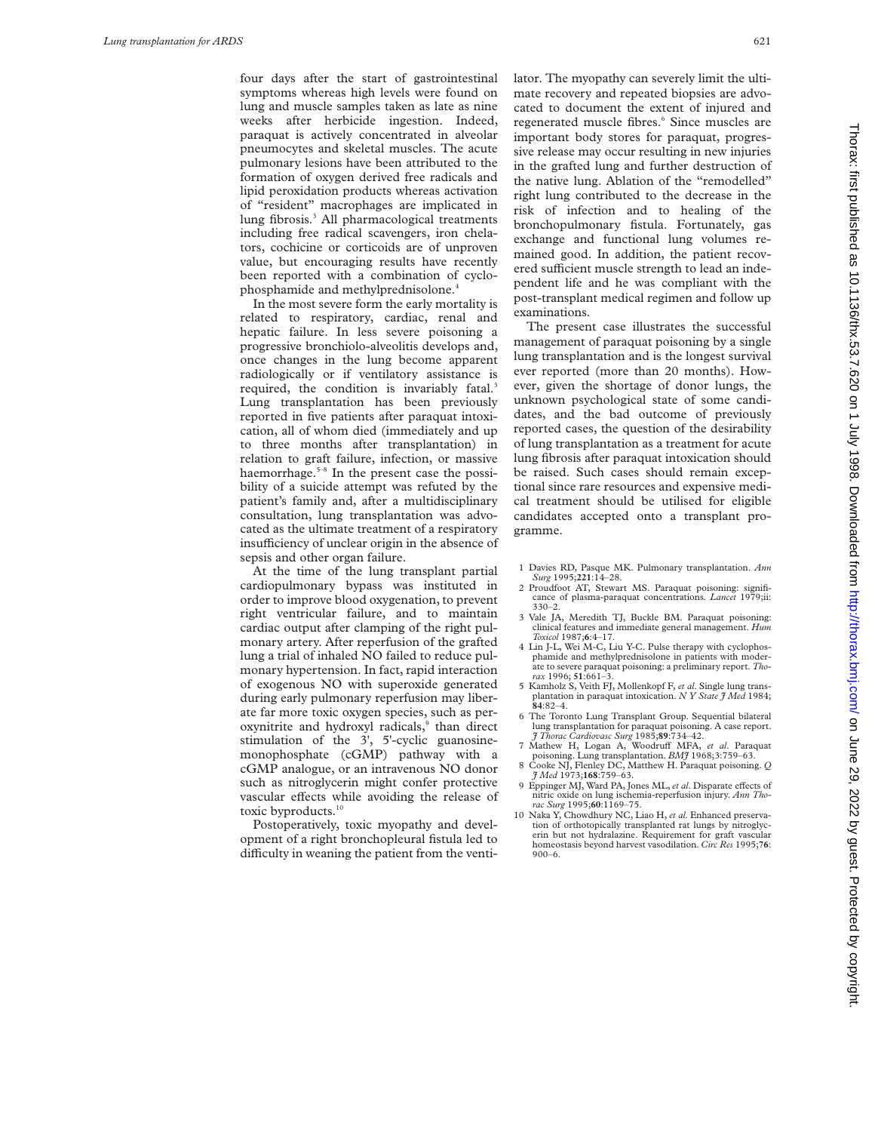four days after the start of gastrointestinal symptoms whereas high levels were found on lung and muscle samples taken as late as nine weeks after herbicide ingestion. Indeed, paraquat is actively concentrated in alveolar pneumocytes and skeletal muscles. The acute pulmonary lesions have been attributed to the formation of oxygen derived free radicals and lipid peroxidation products whereas activation of "resident" macrophages are implicated in lung fibrosis.3 All pharmacological treatments including free radical scavengers, iron chelators, cochicine or corticoids are of unproven value, but encouraging results have recently been reported with a combination of cyclophosphamide and methylprednisolone.4

In the most severe form the early mortality is related to respiratory, cardiac, renal and hepatic failure. In less severe poisoning a progressive bronchiolo-alveolitis develops and, once changes in the lung become apparent radiologically or if ventilatory assistance is required, the condition is invariably fatal.<sup>3</sup> Lung transplantation has been previously reported in five patients after paraquat intoxication, all of whom died (immediately and up to three months after transplantation) in relation to graft failure, infection, or massive haemorrhage.<sup>5-8</sup> In the present case the possibility of a suicide attempt was refuted by the patient's family and, after a multidisciplinary consultation, lung transplantation was advocated as the ultimate treatment of a respiratory insufficiency of unclear origin in the absence of sepsis and other organ failure.

At the time of the lung transplant partial cardiopulmonary bypass was instituted in order to improve blood oxygenation, to prevent right ventricular failure, and to maintain cardiac output after clamping of the right pulmonary artery. After reperfusion of the grafted lung a trial of inhaled NO failed to reduce pulmonary hypertension. In fact, rapid interaction of exogenous NO with superoxide generated during early pulmonary reperfusion may liberate far more toxic oxygen species, such as peroxynitrite and hydroxyl radicals,<sup>9</sup> than direct stimulation of the 3', 5'-cyclic guanosinemonophosphate (cGMP) pathway with a cGMP analogue, or an intravenous NO donor such as nitroglycerin might confer protective vascular effects while avoiding the release of toxic byproducts.10

Postoperatively, toxic myopathy and development of a right bronchopleural fistula led to difficulty in weaning the patient from the ventilator. The myopathy can severely limit the ultimate recovery and repeated biopsies are advocated to document the extent of injured and regenerated muscle fibres.<sup>6</sup> Since muscles are important body stores for paraquat, progressive release may occur resulting in new injuries in the grafted lung and further destruction of the native lung. Ablation of the "remodelled" right lung contributed to the decrease in the risk of infection and to healing of the bronchopulmonary fistula. Fortunately, gas exchange and functional lung volumes remained good. In addition, the patient recovered sufficient muscle strength to lead an independent life and he was compliant with the post-transplant medical regimen and follow up examinations.

The present case illustrates the successful management of paraquat poisoning by a single lung transplantation and is the longest survival ever reported (more than 20 months). However, given the shortage of donor lungs, the unknown psychological state of some candidates, and the bad outcome of previously reported cases, the question of the desirability of lung transplantation as a treatment for acute lung fibrosis after paraquat intoxication should be raised. Such cases should remain exceptional since rare resources and expensive medical treatment should be utilised for eligible candidates accepted onto a transplant programme.

1 Davies RD, Pasque MK. Pulmonary transplantation. *Ann Surg* 1995;**221**:14–28.

- 2 Proudfoot AT, Stewart MS. Paraquat poisoning: significance of plasma-paraquat concentrations. *Lancet* 1979;ii: 330–2.
- 3 Vale JA, Meredith TJ, Buckle BM. Paraquat poisoning: clinical features and immediate general management. *Hum Toxicol* 1987;**6**:4–17.
- 4 Lin J-L, Wei M-C, Liu Y-C. Pulse therapy with cyclophosphamide and methylprednisolone in patients with moderate to severe paraquat poisoning: a preliminary report. *Thorax* 1996; **51**:661–3.
- 5 Kamholz S, Veith FJ, Mollenkopf F, *et al*. Single lung transplantation in paraquat intoxication. *N Y State J Med* 1984; **84**:82–4.
- 6 The Toronto Lung Transplant Group. Sequential bilateral lung transplantation for paraquat poisoning. A case report. *J Thorac Cardiovasc Surg* 1985;**89**:734–42.
- 7 Mathew H, Logan A, Woodruff MFA, et al. Paraquat poisoning. Lung transplantation. *BMJ* 1968;3:759–63. 8 Cooke NJ, Flenley DC, Matthew H. Paraquat poisoning. *Q*
- *J Med* 1973;**168**:759–63.
- 9 Eppinger MJ, Ward PA, Jones ML, et al. Disparate effects of nitric oxide on lung ischemia-reperfusion injury. *Ann Thorac Surg* 1995;**60**:1169–75.
- 10 Naka Y, Chowdhury NC, Liao H, *et al*. Enhanced preservation of orthotopically transplanted rat lungs by nitroglycerin but not hydralazine. Requirement for graft vascular homeostasis beyond harvest vasodilation. *Circ Res* 1995;**76**: 900–6.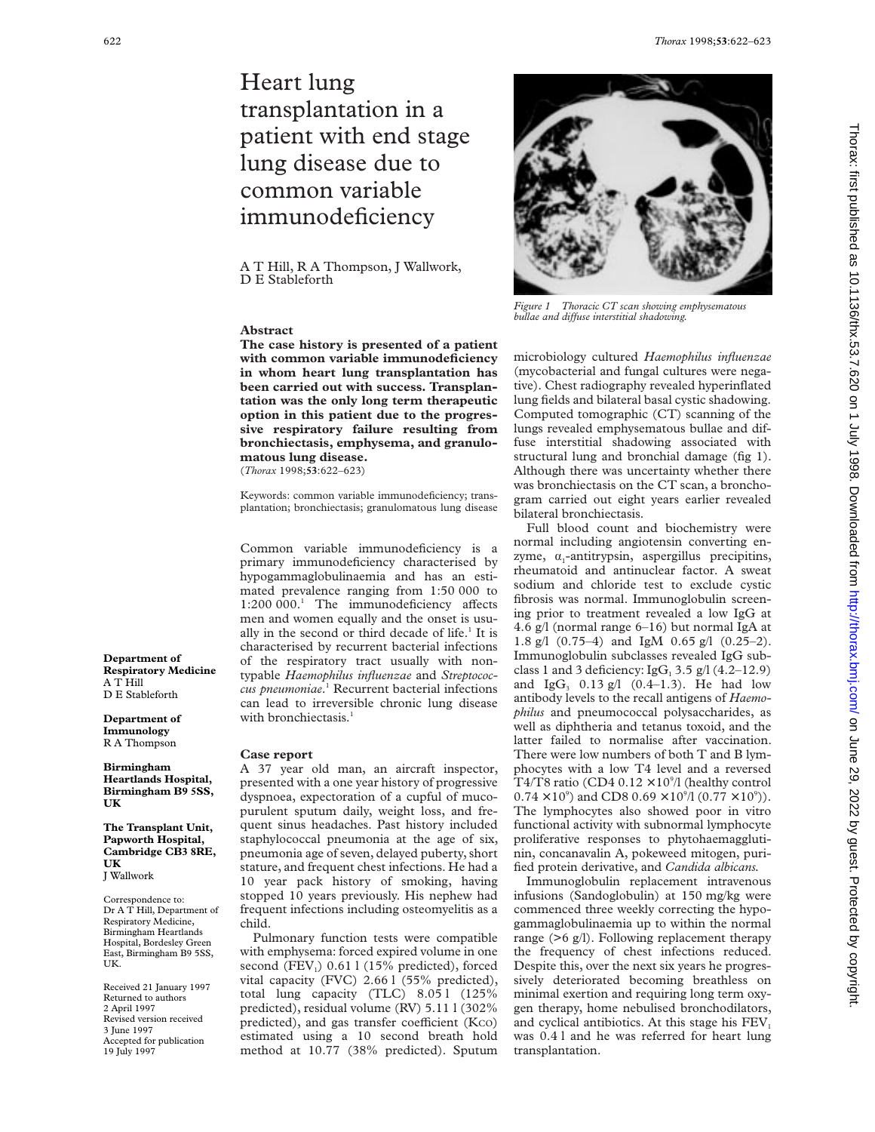# Heart lung transplantation in a patient with end stage lung disease due to common variable immunodeficiency

A T Hill, R A Thompson, J Wallwork, D E Stableforth

#### **Abstract**

**The case history is presented of a patient with common variable immunodeficiency in whom heart lung transplantation has been carried out with success. Transplantation was the only long term therapeutic option in this patient due to the progressive respiratory failure resulting from bronchiectasis, emphysema, and granulomatous lung disease.** (*Thorax* 1998;**53**:622–623)

Keywords: common variable immunodeficiency; transplantation; bronchiectasis; granulomatous lung disease

Common variable immunodeficiency is a primary immunodeficiency characterised by hypogammaglobulinaemia and has an estimated prevalence ranging from 1:50 000 to  $1:200000$ .<sup>1</sup> The immunodeficiency affects men and women equally and the onset is usually in the second or third decade of life. $<sup>1</sup>$  It is</sup> characterised by recurrent bacterial infections of the respiratory tract usually with nontypable *Haemophilus influenzae* and *Streptococcus pneumoniae*. <sup>1</sup> Recurrent bacterial infections can lead to irreversible chronic lung disease with bronchiectasis.<sup>1</sup>

#### **Case report**

A 37 year old man, an aircraft inspector, presented with a one year history of progressive dyspnoea, expectoration of a cupful of mucopurulent sputum daily, weight loss, and frequent sinus headaches. Past history included staphylococcal pneumonia at the age of six, pneumonia age of seven, delayed puberty, short stature, and frequent chest infections. He had a 10 year pack history of smoking, having stopped 10 years previously. His nephew had frequent infections including osteomyelitis as a child.

Pulmonary function tests were compatible with emphysema: forced expired volume in one second  $(FEV_1)$  0.61 l (15% predicted), forced vital capacity (FVC) 2.66 l (55% predicted), total lung capacity (TLC) 8.05 l (125% predicted), residual volume (RV) 5.11 l (302% predicted), and gas transfer coefficient (Kco) estimated using a 10 second breath hold method at 10.77 (38% predicted). Sputum



*Figure 1 Thoracic CT scan showing emphysematous bullae and diVuse interstitial shadowing.*

microbiology cultured *Haemophilus influenzae* (mycobacterial and fungal cultures were negative). Chest radiography revealed hyperinflated lung fields and bilateral basal cystic shadowing. Computed tomographic (CT) scanning of the lungs revealed emphysematous bullae and diffuse interstitial shadowing associated with structural lung and bronchial damage (fig 1). Although there was uncertainty whether there was bronchiectasis on the CT scan, a bronchogram carried out eight years earlier revealed bilateral bronchiectasis.

Full blood count and biochemistry were normal including angiotensin converting enzyme,  $\alpha_1$ -antitrypsin, aspergillus precipitins, rheumatoid and antinuclear factor. A sweat sodium and chloride test to exclude cystic fibrosis was normal. Immunoglobulin screening prior to treatment revealed a low IgG at 4.6 g/l (normal range 6–16) but normal IgA at 1.8 g/l (0.75–4) and IgM 0.65 g/l (0.25–2). Immunoglobulin subclasses revealed IgG subclass 1 and 3 deficiency: IgG<sub>1</sub> 3.5 g/l  $(4.2–12.9)$ and  $IgG_3$  0.13 g/l (0.4-1.3). He had low antibody levels to the recall antigens of *Haemophilus* and pneumococcal polysaccharides, as well as diphtheria and tetanus toxoid, and the latter failed to normalise after vaccination. There were low numbers of both T and B lymphocytes with a low T4 level and a reversed T4/T8 ratio (CD4  $0.12 \times 10^{9}$ /l (healthy control  $0.74 \times 10^9$ ) and CD8  $0.69 \times 10^9$ /l  $(0.77 \times 10^9)$ ). The lymphocytes also showed poor in vitro functional activity with subnormal lymphocyte proliferative responses to phytohaemagglutinin, concanavalin A, pokeweed mitogen, purified protein derivative, and *Candida albicans.*

Immunoglobulin replacement intravenous infusions (Sandoglobulin) at 150 mg/kg were commenced three weekly correcting the hypogammaglobulinaemia up to within the normal range (>6 g/l). Following replacement therapy the frequency of chest infections reduced. Despite this, over the next six years he progressively deteriorated becoming breathless on minimal exertion and requiring long term oxygen therapy, home nebulised bronchodilators, and cyclical antibiotics. At this stage his  $FEV<sub>1</sub>$ was 0.4 l and he was referred for heart lung transplantation.

**Department of Respiratory Medicine** A T Hill D E Stableforth

**Department of Immunology** R A Thompson

**Birmingham Heartlands Hospital, Birmingham B9 5SS, UK**

**The Transplant Unit, Papworth Hospital, Cambridge CB3 8RE, UK** J Wallwork

Correspondence to: Dr A T Hill, Department of Respiratory Medicine, Birmingham Heartlands Hospital, Bordesley Green East, Birmingham B9 5SS, UK.

Received 21 January 1997 Returned to authors 2 April 1997 Revised version received 3 June 1997 Accepted for publication 19 July 1997